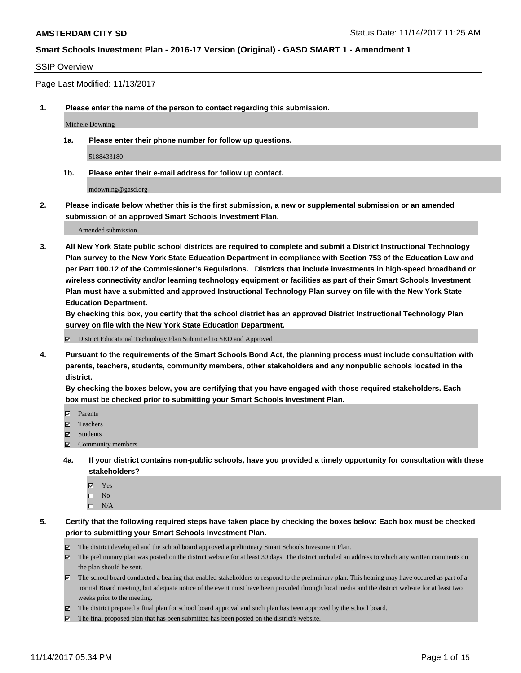#### SSIP Overview

Page Last Modified: 11/13/2017

**1. Please enter the name of the person to contact regarding this submission.**

Michele Downing

**1a. Please enter their phone number for follow up questions.**

5188433180

**1b. Please enter their e-mail address for follow up contact.**

mdowning@gasd.org

**2. Please indicate below whether this is the first submission, a new or supplemental submission or an amended submission of an approved Smart Schools Investment Plan.**

Amended submission

**3. All New York State public school districts are required to complete and submit a District Instructional Technology Plan survey to the New York State Education Department in compliance with Section 753 of the Education Law and per Part 100.12 of the Commissioner's Regulations. Districts that include investments in high-speed broadband or wireless connectivity and/or learning technology equipment or facilities as part of their Smart Schools Investment Plan must have a submitted and approved Instructional Technology Plan survey on file with the New York State Education Department.** 

**By checking this box, you certify that the school district has an approved District Instructional Technology Plan survey on file with the New York State Education Department.**

District Educational Technology Plan Submitted to SED and Approved

**4. Pursuant to the requirements of the Smart Schools Bond Act, the planning process must include consultation with parents, teachers, students, community members, other stakeholders and any nonpublic schools located in the district.** 

**By checking the boxes below, you are certifying that you have engaged with those required stakeholders. Each box must be checked prior to submitting your Smart Schools Investment Plan.**

- **Parents**
- Teachers
- **☑** Students
- $\Xi$  Community members
- **4a. If your district contains non-public schools, have you provided a timely opportunity for consultation with these stakeholders?**
	- **Ø** Yes
	- $\square$  No
	- $\square$  N/A

**5. Certify that the following required steps have taken place by checking the boxes below: Each box must be checked prior to submitting your Smart Schools Investment Plan.**

- The district developed and the school board approved a preliminary Smart Schools Investment Plan.
- The preliminary plan was posted on the district website for at least 30 days. The district included an address to which any written comments on the plan should be sent.
- The school board conducted a hearing that enabled stakeholders to respond to the preliminary plan. This hearing may have occured as part of a normal Board meeting, but adequate notice of the event must have been provided through local media and the district website for at least two weeks prior to the meeting.
- The district prepared a final plan for school board approval and such plan has been approved by the school board.
- $\boxtimes$  The final proposed plan that has been submitted has been posted on the district's website.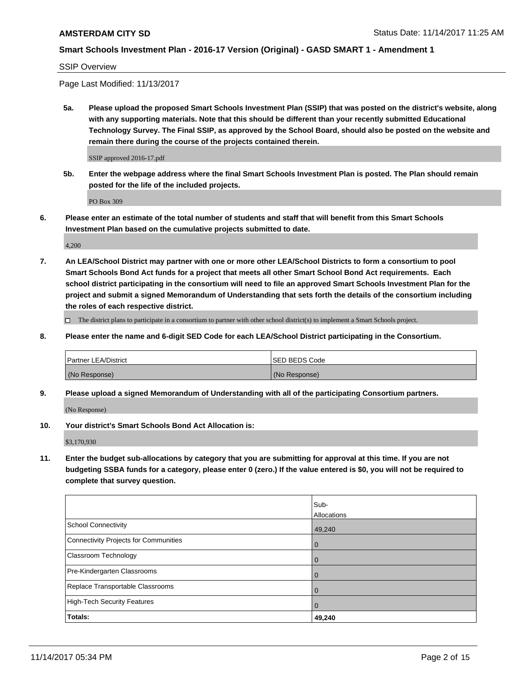#### SSIP Overview

Page Last Modified: 11/13/2017

**5a. Please upload the proposed Smart Schools Investment Plan (SSIP) that was posted on the district's website, along with any supporting materials. Note that this should be different than your recently submitted Educational Technology Survey. The Final SSIP, as approved by the School Board, should also be posted on the website and remain there during the course of the projects contained therein.**

SSIP approved 2016-17.pdf

**5b. Enter the webpage address where the final Smart Schools Investment Plan is posted. The Plan should remain posted for the life of the included projects.**

PO Box 309

**6. Please enter an estimate of the total number of students and staff that will benefit from this Smart Schools Investment Plan based on the cumulative projects submitted to date.**

4,200

**7. An LEA/School District may partner with one or more other LEA/School Districts to form a consortium to pool Smart Schools Bond Act funds for a project that meets all other Smart School Bond Act requirements. Each school district participating in the consortium will need to file an approved Smart Schools Investment Plan for the project and submit a signed Memorandum of Understanding that sets forth the details of the consortium including the roles of each respective district.**

 $\Box$  The district plans to participate in a consortium to partner with other school district(s) to implement a Smart Schools project.

**8. Please enter the name and 6-digit SED Code for each LEA/School District participating in the Consortium.**

| <b>Partner LEA/District</b> | <b>ISED BEDS Code</b> |
|-----------------------------|-----------------------|
| (No Response)               | (No Response)         |

**9. Please upload a signed Memorandum of Understanding with all of the participating Consortium partners.**

(No Response)

**10. Your district's Smart Schools Bond Act Allocation is:**

\$3,170,930

**11. Enter the budget sub-allocations by category that you are submitting for approval at this time. If you are not budgeting SSBA funds for a category, please enter 0 (zero.) If the value entered is \$0, you will not be required to complete that survey question.**

|                                              | Sub-<br>Allocations |
|----------------------------------------------|---------------------|
|                                              |                     |
| <b>School Connectivity</b>                   | 49,240              |
| <b>Connectivity Projects for Communities</b> | $\overline{0}$      |
| Classroom Technology                         | $\overline{0}$      |
| Pre-Kindergarten Classrooms                  | 0                   |
| Replace Transportable Classrooms             | $\mathbf 0$         |
| <b>High-Tech Security Features</b>           | $\overline{0}$      |
| Totals:                                      | 49,240              |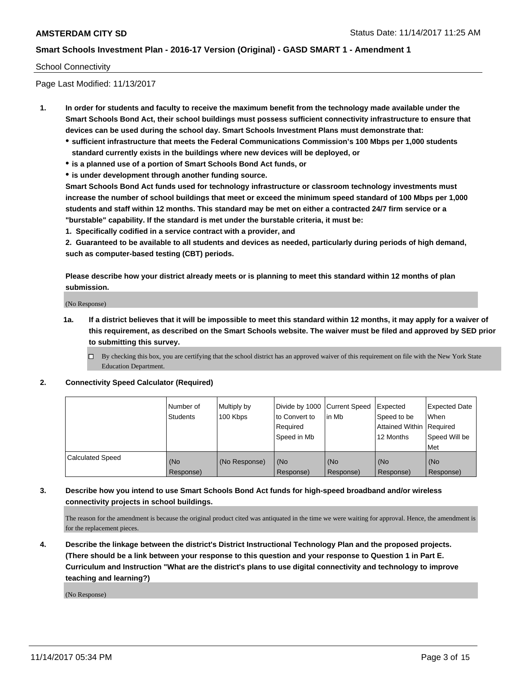#### School Connectivity

Page Last Modified: 11/13/2017

- **1. In order for students and faculty to receive the maximum benefit from the technology made available under the Smart Schools Bond Act, their school buildings must possess sufficient connectivity infrastructure to ensure that devices can be used during the school day. Smart Schools Investment Plans must demonstrate that:**
	- **sufficient infrastructure that meets the Federal Communications Commission's 100 Mbps per 1,000 students standard currently exists in the buildings where new devices will be deployed, or**
	- **is a planned use of a portion of Smart Schools Bond Act funds, or**
	- **is under development through another funding source.**

**Smart Schools Bond Act funds used for technology infrastructure or classroom technology investments must increase the number of school buildings that meet or exceed the minimum speed standard of 100 Mbps per 1,000 students and staff within 12 months. This standard may be met on either a contracted 24/7 firm service or a "burstable" capability. If the standard is met under the burstable criteria, it must be:**

**1. Specifically codified in a service contract with a provider, and**

**2. Guaranteed to be available to all students and devices as needed, particularly during periods of high demand, such as computer-based testing (CBT) periods.**

**Please describe how your district already meets or is planning to meet this standard within 12 months of plan submission.**

(No Response)

**1a. If a district believes that it will be impossible to meet this standard within 12 months, it may apply for a waiver of this requirement, as described on the Smart Schools website. The waiver must be filed and approved by SED prior to submitting this survey.**

**2. Connectivity Speed Calculator (Required)**

|                         | Number of<br><b>Students</b> | Multiply by<br>100 Kbps | Divide by 1000   Current Speed<br>to Convert to<br>Required<br>Speed in Mb | lin Mb           | Expected<br>Speed to be<br>Attained Within   Required<br>12 Months | <b>Expected Date</b><br>When<br>Speed Will be<br>Met |
|-------------------------|------------------------------|-------------------------|----------------------------------------------------------------------------|------------------|--------------------------------------------------------------------|------------------------------------------------------|
| <b>Calculated Speed</b> | (No<br>Response)             | (No Response)           | (No<br>Response)                                                           | (No<br>Response) | (No<br>Response)                                                   | (No<br>Response)                                     |

# **3. Describe how you intend to use Smart Schools Bond Act funds for high-speed broadband and/or wireless connectivity projects in school buildings.**

The reason for the amendment is because the original product cited was antiquated in the time we were waiting for approval. Hence, the amendment is for the replacement pieces.

**4. Describe the linkage between the district's District Instructional Technology Plan and the proposed projects. (There should be a link between your response to this question and your response to Question 1 in Part E. Curriculum and Instruction "What are the district's plans to use digital connectivity and technology to improve teaching and learning?)**

(No Response)

 $\Box$  By checking this box, you are certifying that the school district has an approved waiver of this requirement on file with the New York State Education Department.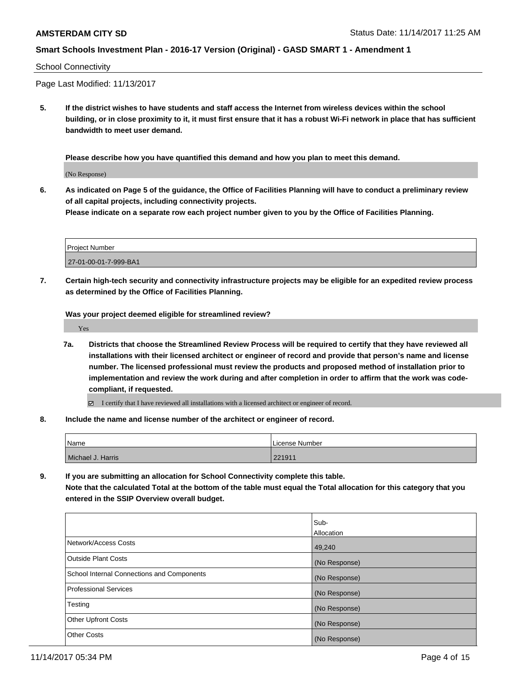#### School Connectivity

Page Last Modified: 11/13/2017

**5. If the district wishes to have students and staff access the Internet from wireless devices within the school building, or in close proximity to it, it must first ensure that it has a robust Wi-Fi network in place that has sufficient bandwidth to meet user demand.**

**Please describe how you have quantified this demand and how you plan to meet this demand.**

(No Response)

**6. As indicated on Page 5 of the guidance, the Office of Facilities Planning will have to conduct a preliminary review of all capital projects, including connectivity projects.**

**Please indicate on a separate row each project number given to you by the Office of Facilities Planning.**

| <b>Project Number</b> |  |
|-----------------------|--|
| 27-01-00-01-7-999-BA1 |  |

**7. Certain high-tech security and connectivity infrastructure projects may be eligible for an expedited review process as determined by the Office of Facilities Planning.**

**Was your project deemed eligible for streamlined review?**

Yes

- **7a. Districts that choose the Streamlined Review Process will be required to certify that they have reviewed all installations with their licensed architect or engineer of record and provide that person's name and license number. The licensed professional must review the products and proposed method of installation prior to implementation and review the work during and after completion in order to affirm that the work was codecompliant, if requested.**
	- I certify that I have reviewed all installations with a licensed architect or engineer of record.
- **8. Include the name and license number of the architect or engineer of record.**

| Name              | License Number |
|-------------------|----------------|
| Michael J. Harris | 221911         |

**9. If you are submitting an allocation for School Connectivity complete this table. Note that the calculated Total at the bottom of the table must equal the Total allocation for this category that you**

**entered in the SSIP Overview overall budget.** 

|                                            | Sub-              |
|--------------------------------------------|-------------------|
|                                            | <b>Allocation</b> |
| Network/Access Costs                       | 49,240            |
| <b>Outside Plant Costs</b>                 | (No Response)     |
| School Internal Connections and Components | (No Response)     |
| <b>Professional Services</b>               | (No Response)     |
| Testing                                    | (No Response)     |
| <b>Other Upfront Costs</b>                 | (No Response)     |
| <b>Other Costs</b>                         | (No Response)     |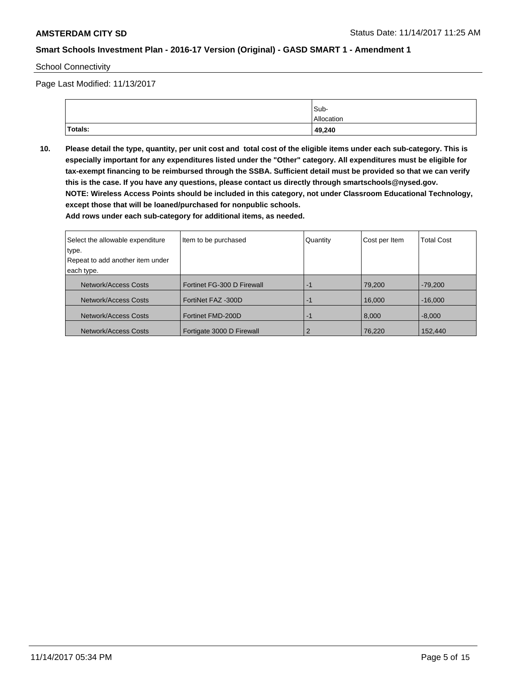School Connectivity

Page Last Modified: 11/13/2017

|         | Sub-       |
|---------|------------|
|         | Allocation |
| Totals: | 49,240     |

**10. Please detail the type, quantity, per unit cost and total cost of the eligible items under each sub-category. This is especially important for any expenditures listed under the "Other" category. All expenditures must be eligible for tax-exempt financing to be reimbursed through the SSBA. Sufficient detail must be provided so that we can verify this is the case. If you have any questions, please contact us directly through smartschools@nysed.gov. NOTE: Wireless Access Points should be included in this category, not under Classroom Educational Technology, except those that will be loaned/purchased for nonpublic schools.**

| Select the allowable expenditure<br>type.<br>Repeat to add another item under | Item to be purchased       | Quantity | Cost per Item | <b>Total Cost</b> |
|-------------------------------------------------------------------------------|----------------------------|----------|---------------|-------------------|
|                                                                               |                            |          |               |                   |
| each type.                                                                    |                            |          |               |                   |
| Network/Access Costs                                                          | Fortinet FG-300 D Firewall | -1       | 79.200        | $-79.200$         |
| Network/Access Costs                                                          | FortiNet FAZ -300D         | -1       | 16,000        | $-16,000$         |
| Network/Access Costs                                                          | Fortinet FMD-200D          | -1       | 8,000         | $-8.000$          |
| Network/Access Costs                                                          | Fortigate 3000 D Firewall  | 2        | 76,220        | 152,440           |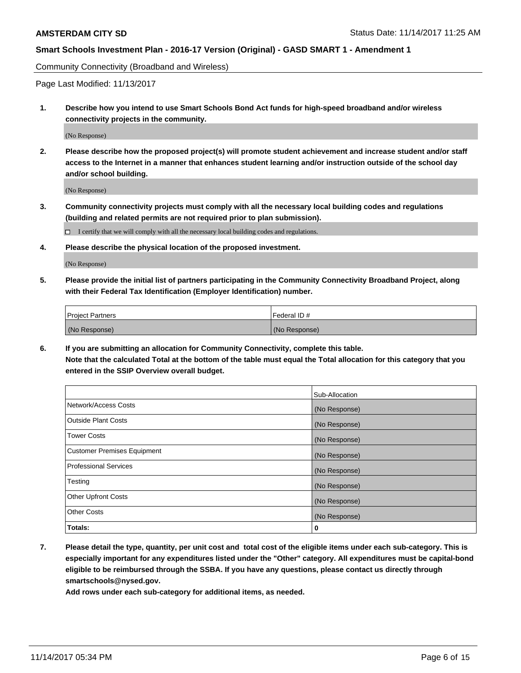Community Connectivity (Broadband and Wireless)

Page Last Modified: 11/13/2017

**1. Describe how you intend to use Smart Schools Bond Act funds for high-speed broadband and/or wireless connectivity projects in the community.**

(No Response)

**2. Please describe how the proposed project(s) will promote student achievement and increase student and/or staff access to the Internet in a manner that enhances student learning and/or instruction outside of the school day and/or school building.**

(No Response)

- **3. Community connectivity projects must comply with all the necessary local building codes and regulations (building and related permits are not required prior to plan submission).**
	- $\Box$  I certify that we will comply with all the necessary local building codes and regulations.
- **4. Please describe the physical location of the proposed investment.**

(No Response)

**5. Please provide the initial list of partners participating in the Community Connectivity Broadband Project, along with their Federal Tax Identification (Employer Identification) number.**

| <b>Project Partners</b> | l Federal ID # |
|-------------------------|----------------|
| (No Response)           | (No Response)  |

**6. If you are submitting an allocation for Community Connectivity, complete this table. Note that the calculated Total at the bottom of the table must equal the Total allocation for this category that you entered in the SSIP Overview overall budget.**

|                                    | Sub-Allocation |
|------------------------------------|----------------|
| Network/Access Costs               | (No Response)  |
| <b>Outside Plant Costs</b>         | (No Response)  |
| <b>Tower Costs</b>                 | (No Response)  |
| <b>Customer Premises Equipment</b> | (No Response)  |
| <b>Professional Services</b>       | (No Response)  |
| Testing                            | (No Response)  |
| <b>Other Upfront Costs</b>         | (No Response)  |
| <b>Other Costs</b>                 | (No Response)  |
| Totals:                            | 0              |

**7. Please detail the type, quantity, per unit cost and total cost of the eligible items under each sub-category. This is especially important for any expenditures listed under the "Other" category. All expenditures must be capital-bond eligible to be reimbursed through the SSBA. If you have any questions, please contact us directly through smartschools@nysed.gov.**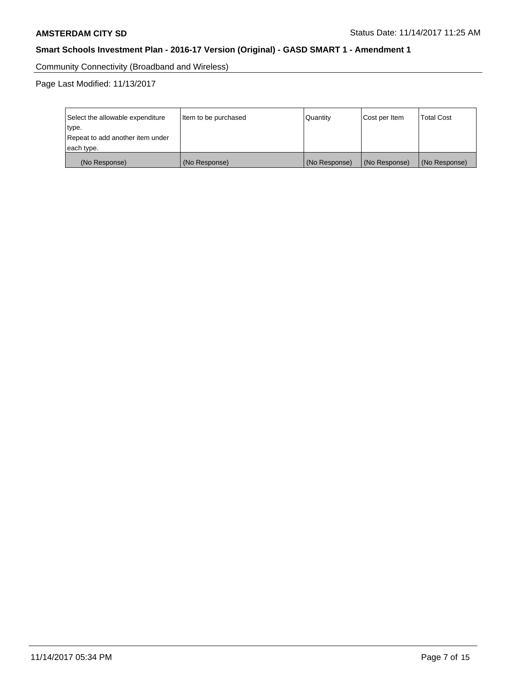Community Connectivity (Broadband and Wireless)

Page Last Modified: 11/13/2017

| Select the allowable expenditure<br>type.<br>Repeat to add another item under<br>each type. | Item to be purchased | Quantity      | Cost per Item | <b>Total Cost</b> |
|---------------------------------------------------------------------------------------------|----------------------|---------------|---------------|-------------------|
| (No Response)                                                                               | (No Response)        | (No Response) | (No Response) | (No Response)     |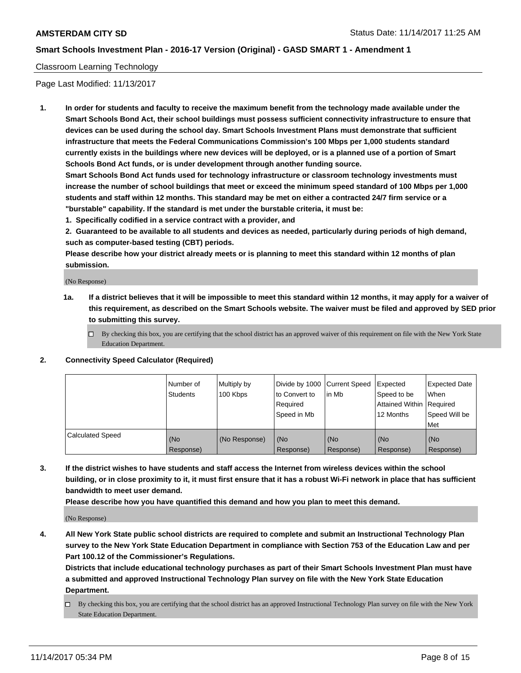#### Classroom Learning Technology

Page Last Modified: 11/13/2017

**1. In order for students and faculty to receive the maximum benefit from the technology made available under the Smart Schools Bond Act, their school buildings must possess sufficient connectivity infrastructure to ensure that devices can be used during the school day. Smart Schools Investment Plans must demonstrate that sufficient infrastructure that meets the Federal Communications Commission's 100 Mbps per 1,000 students standard currently exists in the buildings where new devices will be deployed, or is a planned use of a portion of Smart Schools Bond Act funds, or is under development through another funding source.**

**Smart Schools Bond Act funds used for technology infrastructure or classroom technology investments must increase the number of school buildings that meet or exceed the minimum speed standard of 100 Mbps per 1,000 students and staff within 12 months. This standard may be met on either a contracted 24/7 firm service or a "burstable" capability. If the standard is met under the burstable criteria, it must be:**

**1. Specifically codified in a service contract with a provider, and**

**2. Guaranteed to be available to all students and devices as needed, particularly during periods of high demand, such as computer-based testing (CBT) periods.**

**Please describe how your district already meets or is planning to meet this standard within 12 months of plan submission.**

(No Response)

- **1a. If a district believes that it will be impossible to meet this standard within 12 months, it may apply for a waiver of this requirement, as described on the Smart Schools website. The waiver must be filed and approved by SED prior to submitting this survey.**
	- $\Box$  By checking this box, you are certifying that the school district has an approved waiver of this requirement on file with the New York State Education Department.

#### **2. Connectivity Speed Calculator (Required)**

|                         | Number of<br><b>Students</b> | Multiply by<br>100 Kbps | Divide by 1000 Current Speed<br>to Convert to<br>Required<br>Speed in Mb | in Mb                        | Expected<br>Speed to be<br>Attained Within   Required<br>12 Months | <b>Expected Date</b><br><b>When</b><br>Speed Will be<br>Met |
|-------------------------|------------------------------|-------------------------|--------------------------------------------------------------------------|------------------------------|--------------------------------------------------------------------|-------------------------------------------------------------|
| <b>Calculated Speed</b> | (No<br>Response)             | (No Response)           | l (No<br>Response)                                                       | KN <sub>O</sub><br>Response) | (No<br>Response)                                                   | (No<br>Response)                                            |

**3. If the district wishes to have students and staff access the Internet from wireless devices within the school building, or in close proximity to it, it must first ensure that it has a robust Wi-Fi network in place that has sufficient bandwidth to meet user demand.**

**Please describe how you have quantified this demand and how you plan to meet this demand.**

(No Response)

**4. All New York State public school districts are required to complete and submit an Instructional Technology Plan survey to the New York State Education Department in compliance with Section 753 of the Education Law and per Part 100.12 of the Commissioner's Regulations.**

**Districts that include educational technology purchases as part of their Smart Schools Investment Plan must have a submitted and approved Instructional Technology Plan survey on file with the New York State Education Department.**

By checking this box, you are certifying that the school district has an approved Instructional Technology Plan survey on file with the New York State Education Department.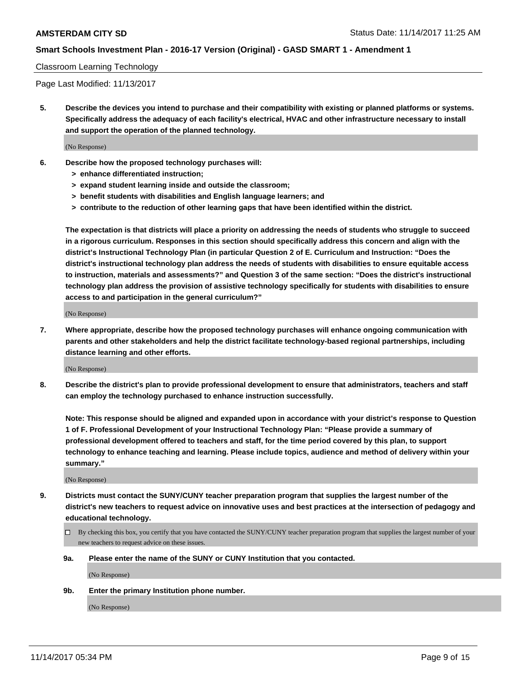#### Classroom Learning Technology

Page Last Modified: 11/13/2017

**5. Describe the devices you intend to purchase and their compatibility with existing or planned platforms or systems. Specifically address the adequacy of each facility's electrical, HVAC and other infrastructure necessary to install and support the operation of the planned technology.**

(No Response)

- **6. Describe how the proposed technology purchases will:**
	- **> enhance differentiated instruction;**
	- **> expand student learning inside and outside the classroom;**
	- **> benefit students with disabilities and English language learners; and**
	- **> contribute to the reduction of other learning gaps that have been identified within the district.**

**The expectation is that districts will place a priority on addressing the needs of students who struggle to succeed in a rigorous curriculum. Responses in this section should specifically address this concern and align with the district's Instructional Technology Plan (in particular Question 2 of E. Curriculum and Instruction: "Does the district's instructional technology plan address the needs of students with disabilities to ensure equitable access to instruction, materials and assessments?" and Question 3 of the same section: "Does the district's instructional technology plan address the provision of assistive technology specifically for students with disabilities to ensure access to and participation in the general curriculum?"**

(No Response)

**7. Where appropriate, describe how the proposed technology purchases will enhance ongoing communication with parents and other stakeholders and help the district facilitate technology-based regional partnerships, including distance learning and other efforts.**

(No Response)

**8. Describe the district's plan to provide professional development to ensure that administrators, teachers and staff can employ the technology purchased to enhance instruction successfully.**

**Note: This response should be aligned and expanded upon in accordance with your district's response to Question 1 of F. Professional Development of your Instructional Technology Plan: "Please provide a summary of professional development offered to teachers and staff, for the time period covered by this plan, to support technology to enhance teaching and learning. Please include topics, audience and method of delivery within your summary."**

(No Response)

- **9. Districts must contact the SUNY/CUNY teacher preparation program that supplies the largest number of the district's new teachers to request advice on innovative uses and best practices at the intersection of pedagogy and educational technology.**
	- By checking this box, you certify that you have contacted the SUNY/CUNY teacher preparation program that supplies the largest number of your new teachers to request advice on these issues.
	- **9a. Please enter the name of the SUNY or CUNY Institution that you contacted.**

(No Response)

**9b. Enter the primary Institution phone number.**

(No Response)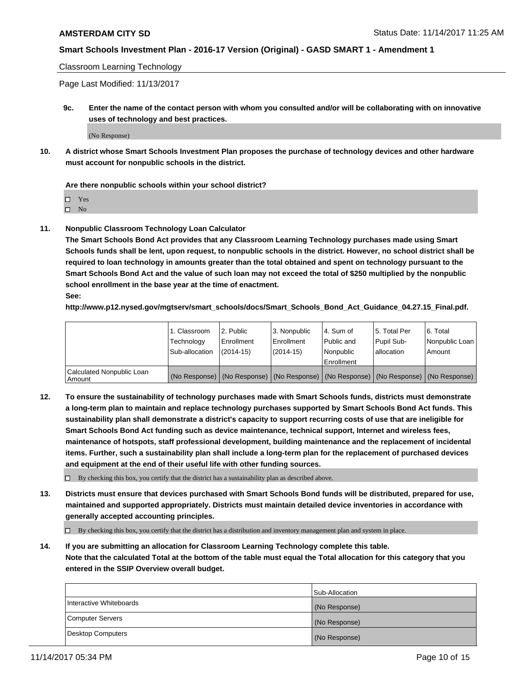Classroom Learning Technology

Page Last Modified: 11/13/2017

**9c. Enter the name of the contact person with whom you consulted and/or will be collaborating with on innovative uses of technology and best practices.**

(No Response)

**10. A district whose Smart Schools Investment Plan proposes the purchase of technology devices and other hardware must account for nonpublic schools in the district.**

**Are there nonpublic schools within your school district?**

Yes

 $\square$  No

**11. Nonpublic Classroom Technology Loan Calculator**

**The Smart Schools Bond Act provides that any Classroom Learning Technology purchases made using Smart Schools funds shall be lent, upon request, to nonpublic schools in the district. However, no school district shall be required to loan technology in amounts greater than the total obtained and spent on technology pursuant to the Smart Schools Bond Act and the value of such loan may not exceed the total of \$250 multiplied by the nonpublic school enrollment in the base year at the time of enactment.**

**See:**

**http://www.p12.nysed.gov/mgtserv/smart\_schools/docs/Smart\_Schools\_Bond\_Act\_Guidance\_04.27.15\_Final.pdf.**

|                                       | 1. Classroom   | l 2. Public   | 3. Nonpublic | l 4. Sum of | 15. Total Per                                                                                 | 6. Total       |
|---------------------------------------|----------------|---------------|--------------|-------------|-----------------------------------------------------------------------------------------------|----------------|
|                                       | Technology     | Enrollment    | Enrollment   | Public and  | Pupil Sub-                                                                                    | Nonpublic Loan |
|                                       | Sub-allocation | $(2014 - 15)$ | $(2014-15)$  | l Nonpublic | allocation                                                                                    | Amount         |
|                                       |                |               |              | Enrollment  |                                                                                               |                |
| Calculated Nonpublic Loan<br>  Amount |                |               |              |             | (No Response)   (No Response)   (No Response)   (No Response)   (No Response)   (No Response) |                |

**12. To ensure the sustainability of technology purchases made with Smart Schools funds, districts must demonstrate a long-term plan to maintain and replace technology purchases supported by Smart Schools Bond Act funds. This sustainability plan shall demonstrate a district's capacity to support recurring costs of use that are ineligible for Smart Schools Bond Act funding such as device maintenance, technical support, Internet and wireless fees, maintenance of hotspots, staff professional development, building maintenance and the replacement of incidental items. Further, such a sustainability plan shall include a long-term plan for the replacement of purchased devices and equipment at the end of their useful life with other funding sources.**

 $\Box$  By checking this box, you certify that the district has a sustainability plan as described above.

**13. Districts must ensure that devices purchased with Smart Schools Bond funds will be distributed, prepared for use, maintained and supported appropriately. Districts must maintain detailed device inventories in accordance with generally accepted accounting principles.**

By checking this box, you certify that the district has a distribution and inventory management plan and system in place.

**14. If you are submitting an allocation for Classroom Learning Technology complete this table. Note that the calculated Total at the bottom of the table must equal the Total allocation for this category that you entered in the SSIP Overview overall budget.**

|                         | Sub-Allocation |
|-------------------------|----------------|
| Interactive Whiteboards | (No Response)  |
| Computer Servers        | (No Response)  |
| Desktop Computers       | (No Response)  |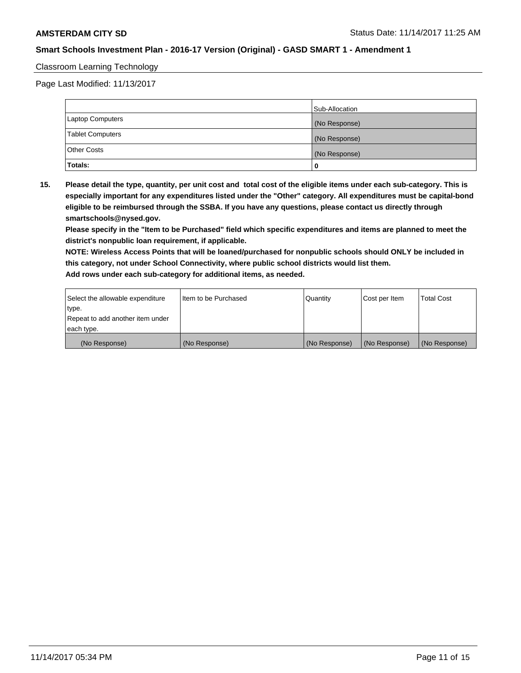#### Classroom Learning Technology

Page Last Modified: 11/13/2017

|                         | Sub-Allocation |
|-------------------------|----------------|
| <b>Laptop Computers</b> | (No Response)  |
| <b>Tablet Computers</b> | (No Response)  |
| <b>Other Costs</b>      | (No Response)  |
| Totals:                 |                |

**15. Please detail the type, quantity, per unit cost and total cost of the eligible items under each sub-category. This is especially important for any expenditures listed under the "Other" category. All expenditures must be capital-bond eligible to be reimbursed through the SSBA. If you have any questions, please contact us directly through smartschools@nysed.gov.**

**Please specify in the "Item to be Purchased" field which specific expenditures and items are planned to meet the district's nonpublic loan requirement, if applicable.**

**NOTE: Wireless Access Points that will be loaned/purchased for nonpublic schools should ONLY be included in this category, not under School Connectivity, where public school districts would list them. Add rows under each sub-category for additional items, as needed.**

| Select the allowable expenditure | I Item to be Purchased | Quantity      | Cost per Item   | <b>Total Cost</b> |
|----------------------------------|------------------------|---------------|-----------------|-------------------|
| type.                            |                        |               |                 |                   |
| Repeat to add another item under |                        |               |                 |                   |
| each type.                       |                        |               |                 |                   |
| (No Response)                    | (No Response)          | (No Response) | l (No Response) | (No Response)     |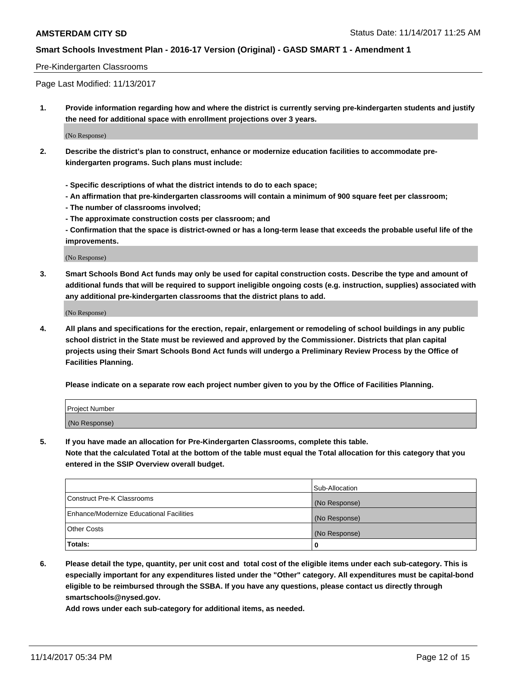#### Pre-Kindergarten Classrooms

Page Last Modified: 11/13/2017

**1. Provide information regarding how and where the district is currently serving pre-kindergarten students and justify the need for additional space with enrollment projections over 3 years.**

(No Response)

- **2. Describe the district's plan to construct, enhance or modernize education facilities to accommodate prekindergarten programs. Such plans must include:**
	- **Specific descriptions of what the district intends to do to each space;**
	- **An affirmation that pre-kindergarten classrooms will contain a minimum of 900 square feet per classroom;**
	- **The number of classrooms involved;**
	- **The approximate construction costs per classroom; and**

**- Confirmation that the space is district-owned or has a long-term lease that exceeds the probable useful life of the improvements.**

(No Response)

**3. Smart Schools Bond Act funds may only be used for capital construction costs. Describe the type and amount of additional funds that will be required to support ineligible ongoing costs (e.g. instruction, supplies) associated with any additional pre-kindergarten classrooms that the district plans to add.**

(No Response)

**4. All plans and specifications for the erection, repair, enlargement or remodeling of school buildings in any public school district in the State must be reviewed and approved by the Commissioner. Districts that plan capital projects using their Smart Schools Bond Act funds will undergo a Preliminary Review Process by the Office of Facilities Planning.**

**Please indicate on a separate row each project number given to you by the Office of Facilities Planning.**

| Project Number |  |
|----------------|--|
| (No Response)  |  |

**5. If you have made an allocation for Pre-Kindergarten Classrooms, complete this table.**

**Note that the calculated Total at the bottom of the table must equal the Total allocation for this category that you entered in the SSIP Overview overall budget.**

|                                          | Sub-Allocation |
|------------------------------------------|----------------|
| Construct Pre-K Classrooms               | (No Response)  |
| Enhance/Modernize Educational Facilities | (No Response)  |
| <b>Other Costs</b>                       | (No Response)  |
| <b>Totals:</b>                           | 0              |

**6. Please detail the type, quantity, per unit cost and total cost of the eligible items under each sub-category. This is especially important for any expenditures listed under the "Other" category. All expenditures must be capital-bond eligible to be reimbursed through the SSBA. If you have any questions, please contact us directly through smartschools@nysed.gov.**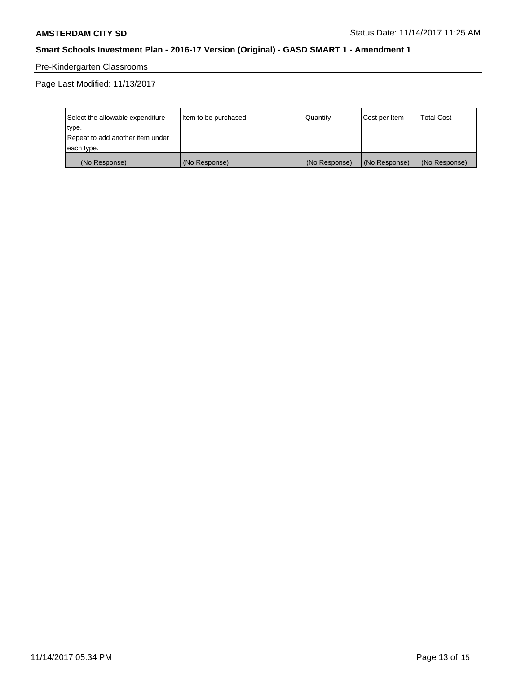# Pre-Kindergarten Classrooms

Page Last Modified: 11/13/2017

| Select the allowable expenditure | Item to be purchased | Quantity      | Cost per Item | <b>Total Cost</b> |
|----------------------------------|----------------------|---------------|---------------|-------------------|
| type.                            |                      |               |               |                   |
| Repeat to add another item under |                      |               |               |                   |
| each type.                       |                      |               |               |                   |
| (No Response)                    | (No Response)        | (No Response) | (No Response) | (No Response)     |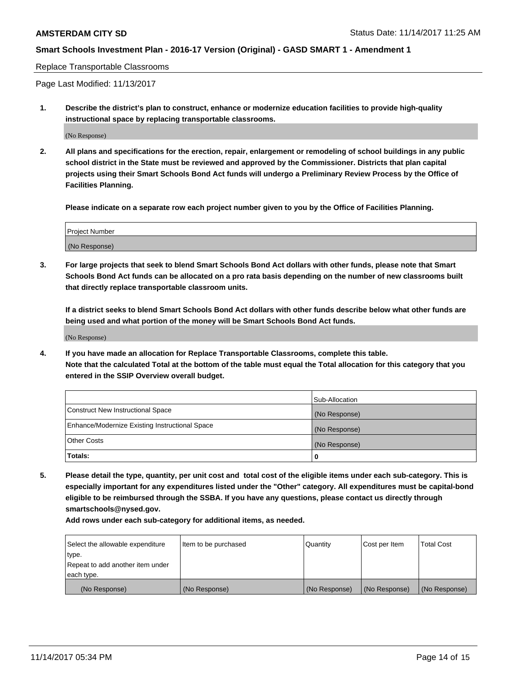Replace Transportable Classrooms

Page Last Modified: 11/13/2017

**1. Describe the district's plan to construct, enhance or modernize education facilities to provide high-quality instructional space by replacing transportable classrooms.**

(No Response)

**2. All plans and specifications for the erection, repair, enlargement or remodeling of school buildings in any public school district in the State must be reviewed and approved by the Commissioner. Districts that plan capital projects using their Smart Schools Bond Act funds will undergo a Preliminary Review Process by the Office of Facilities Planning.**

**Please indicate on a separate row each project number given to you by the Office of Facilities Planning.**

| <b>Project Number</b> |  |
|-----------------------|--|
| (No Response)         |  |

**3. For large projects that seek to blend Smart Schools Bond Act dollars with other funds, please note that Smart Schools Bond Act funds can be allocated on a pro rata basis depending on the number of new classrooms built that directly replace transportable classroom units.**

**If a district seeks to blend Smart Schools Bond Act dollars with other funds describe below what other funds are being used and what portion of the money will be Smart Schools Bond Act funds.**

(No Response)

**4. If you have made an allocation for Replace Transportable Classrooms, complete this table. Note that the calculated Total at the bottom of the table must equal the Total allocation for this category that you entered in the SSIP Overview overall budget.**

|                                                | Sub-Allocation |
|------------------------------------------------|----------------|
| Construct New Instructional Space              | (No Response)  |
| Enhance/Modernize Existing Instructional Space | (No Response)  |
| <b>Other Costs</b>                             | (No Response)  |
| Totals:                                        | 0              |

**5. Please detail the type, quantity, per unit cost and total cost of the eligible items under each sub-category. This is especially important for any expenditures listed under the "Other" category. All expenditures must be capital-bond eligible to be reimbursed through the SSBA. If you have any questions, please contact us directly through smartschools@nysed.gov.**

| Select the allowable expenditure<br>type.<br>Repeat to add another item under<br>each type. | Item to be purchased | Quantity      | Cost per Item | <b>Total Cost</b> |
|---------------------------------------------------------------------------------------------|----------------------|---------------|---------------|-------------------|
|                                                                                             |                      |               |               |                   |
| (No Response)                                                                               | (No Response)        | (No Response) | (No Response) | (No Response)     |